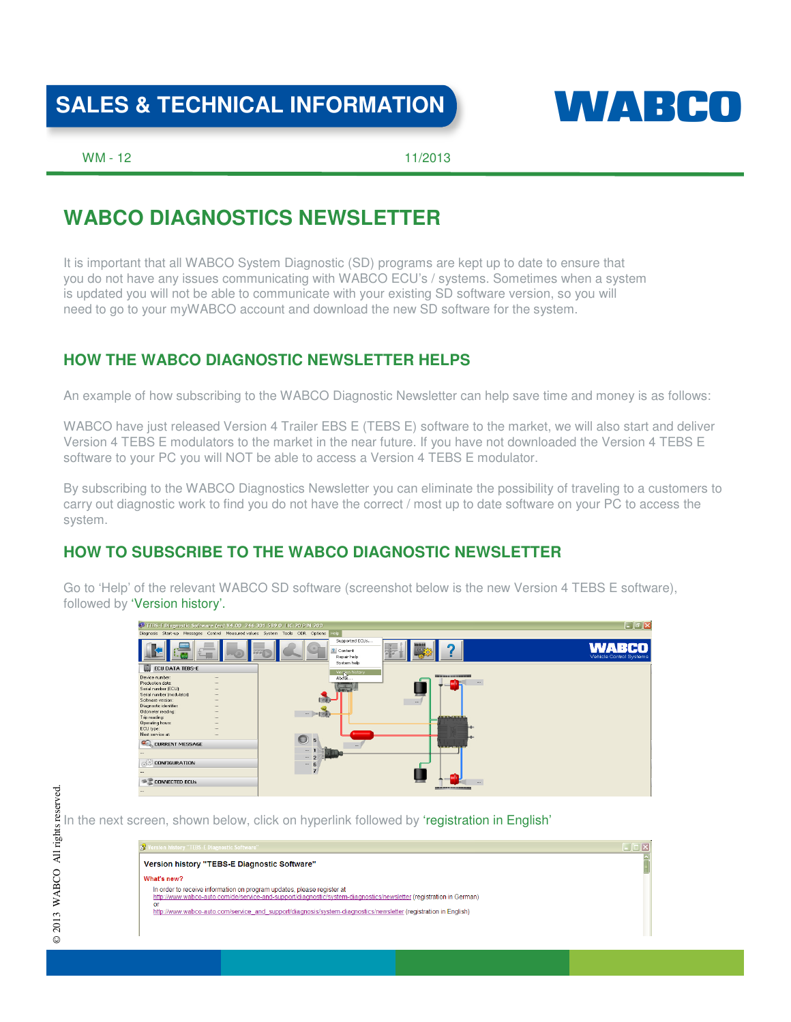## SALES & TECHNICAL INFORMATION **WALKER CO**



WM - 12 2013

### **WABCO DIAGNOSTICS NEWSLETTER**

It is important that all WABCO System Diagnostic (SD) programs are kept up to date to ensure that you do not have any issues communicating with WABCO ECU's / systems. Sometimes when a system is updated you will not be able to communicate with your existing SD software version, so you will need to go to your myWABCO account and download the new SD software for the system.

### **HOW THE WABCO DIAGNOSTIC NEWSLETTER HELPS**

An example of how subscribing to the WABCO Diagnostic Newsletter can help save time and money is as follows:

WABCO have just released Version 4 Trailer EBS E (TEBS E) software to the market, we will also start and deliver Version 4 TEBS E modulators to the market in the near future. If you have not downloaded the Version 4 TEBS E software to your PC you will NOT be able to access a Version 4 TEBS E modulator.

By subscribing to the WABCO Diagnostics Newsletter you can eliminate the possibility of traveling to a customers to carry out diagnostic work to find you do not have the correct / most up to date software on your PC to access the system.

### **HOW TO SUBSCRIBE TO THE WABCO DIAGNOSTIC NEWSLETTER**

Go to 'Help' of the relevant WABCO SD software (screenshot below is the new Version 4 TEBS E software), followed by 'Version history'.



© 2013 WABCO All rights reserved.

 $\circledcirc$